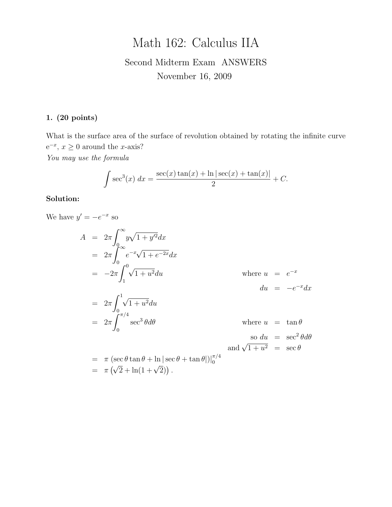# Math 162: Calculus IIA

# Second Midterm Exam ANSWERS November 16, 2009

#### 1. (20 points)

What is the surface area of the surface of revolution obtained by rotating the infinite curve  $e^{-x}$ ,  $x \ge 0$  around the *x*-axis? You may use the formula

$$
\int \sec^3(x) \, dx = \frac{\sec(x)\tan(x) + \ln|\sec(x) + \tan(x)|}{2} + C.
$$

#### Solution:

We have  $y' = -e^{-x}$  so

$$
A = 2\pi \int_0^\infty y\sqrt{1 + y'^2} dx
$$
  
\n
$$
= 2\pi \int_0^\infty e^{-x}\sqrt{1 + e^{-2x}} dx
$$
  
\n
$$
= -2\pi \int_1^0 \sqrt{1 + u^2} du
$$
 where  $u = e^{-x}$   
\n
$$
= 2\pi \int_0^1 \sqrt{1 + u^2} du
$$
  
\n
$$
= 2\pi \int_0^{\pi/4} \sec^3 \theta d\theta
$$
 where  $u = \tan \theta$   
\n
$$
= \pi (\sec \theta \tan \theta + \ln |\sec \theta + \tan \theta|)|_0^{\pi/4}
$$
  
\n
$$
= \pi (\sqrt{2} + \ln(1 + \sqrt{2})).
$$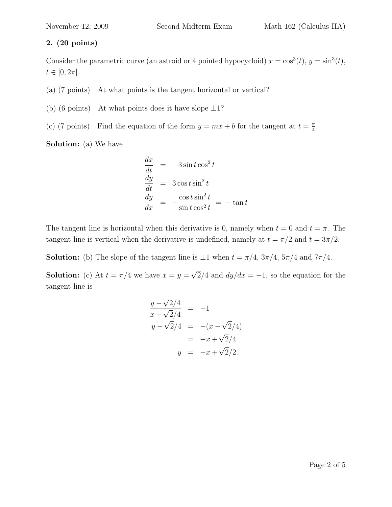Consider the parametric curve (an astroid or 4 pointed hypocycloid)  $x = \cos^3(t)$ ,  $y = \sin^3(t)$ ,  $t \in [0, 2\pi]$ .

- (a) (7 points) At what points is the tangent horizontal or vertical?
- (b) (6 points) At what points does it have slope  $\pm 1$ ?
- (c) (7 points) Find the equation of the form  $y = mx + b$  for the tangent at  $t = \frac{\pi}{4}$  $\frac{\pi}{4}$ .

Solution: (a) We have

$$
\begin{array}{rcl}\n\frac{dx}{dt} & = & -3\sin t \cos^2 t \\
\frac{dy}{dt} & = & 3\cos t \sin^2 t \\
\frac{dy}{dx} & = & -\frac{\cos t \sin^2 t}{\sin t \cos^2 t} = & -\tan t\n\end{array}
$$

The tangent line is horizontal when this derivative is 0, namely when  $t = 0$  and  $t = \pi$ . The tangent line is vertical when the derivative is undefined, namely at  $t = \pi/2$  and  $t = 3\pi/2$ .

**Solution:** (b) The slope of the tangent line is  $\pm 1$  when  $t = \pi/4$ ,  $3\pi/4$ ,  $5\pi/4$  and  $7\pi/4$ .

**Solution:** (c) At  $t = \pi/4$  we have  $x = y =$ √  $2/4$  and  $dy/dx = -1$ , so the equation for the tangent line is

$$
\frac{y - \sqrt{2}/4}{x - \sqrt{2}/4} = -1
$$
  
\n
$$
y - \sqrt{2}/4 = -(x - \sqrt{2}/4)
$$
  
\n
$$
= -x + \sqrt{2}/4
$$
  
\n
$$
y = -x + \sqrt{2}/2.
$$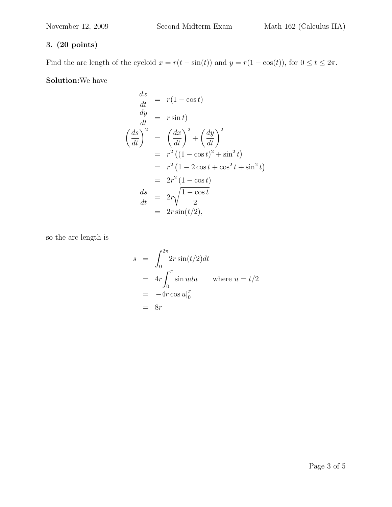Find the arc length of the cycloid  $x = r(t - \sin(t))$  and  $y = r(1 - \cos(t))$ , for  $0 \le t \le 2\pi$ .

Solution:We have

$$
\frac{dx}{dt} = r(1 - \cos t)
$$
\n
$$
\frac{dy}{dt} = r \sin t
$$
\n
$$
\left(\frac{ds}{dt}\right)^2 = \left(\frac{dx}{dt}\right)^2 + \left(\frac{dy}{dt}\right)^2
$$
\n
$$
= r^2 \left((1 - \cos t)^2 + \sin^2 t\right)
$$
\n
$$
= r^2 \left(1 - 2\cos t + \cos^2 t + \sin^2 t\right)
$$
\n
$$
= 2r^2 \left(1 - \cos t\right)
$$
\n
$$
\frac{ds}{dt} = 2r\sqrt{\frac{1 - \cos t}{2}}
$$
\n
$$
= 2r \sin(t/2),
$$

so the arc length is

$$
s = \int_0^{2\pi} 2r \sin(t/2) dt
$$
  
=  $4r \int_0^{\pi} \sin u du$  where  $u = t/2$   
=  $-4r \cos u|_0^{\pi}$   
=  $8r$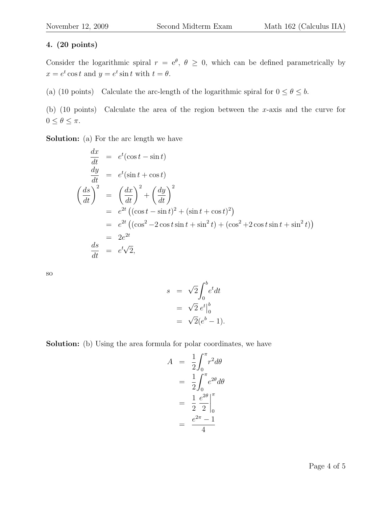Consider the logarithmic spiral  $r = e^{\theta}, \theta \ge 0$ , which can be defined parametrically by  $x = e^t \cos t$  and  $y = e^t \sin t$  with  $t = \theta$ .

(a) (10 points) Calculate the arc-length of the logarithmic spiral for  $0 \le \theta \le b$ .

(b) (10 points) Calculate the area of the region between the x-axis and the curve for  $0\leq\theta\leq\pi.$ 

Solution: (a) For the arc length we have

$$
\frac{dx}{dt} = e^t(\cos t - \sin t)
$$
\n
$$
\frac{dy}{dt} = e^t(\sin t + \cos t)
$$
\n
$$
\left(\frac{ds}{dt}\right)^2 = \left(\frac{dx}{dt}\right)^2 + \left(\frac{dy}{dt}\right)^2
$$
\n
$$
= e^{2t} \left((\cos t - \sin t)^2 + (\sin t + \cos t)^2\right)
$$
\n
$$
= e^{2t} \left((\cos^2 t - 2\cos t + \sin^2 t) + (\cos^2 t - 2\cos t + \sin^2 t)\right)
$$
\n
$$
= 2e^{2t}
$$
\n
$$
\frac{ds}{dt} = e^t\sqrt{2},
$$

so

$$
s = \sqrt{2} \int_0^b e^t dt
$$
  
=  $\sqrt{2} e^t \Big|_0^b$   
=  $\sqrt{2} (e^b - 1).$ 

Solution: (b) Using the area formula for polar coordinates, we have

$$
A = \frac{1}{2} \int_0^{\pi} r^2 d\theta
$$
  
=  $\frac{1}{2} \int_0^{\pi} e^{2\theta} d\theta$   
=  $\frac{1}{2} \frac{e^{2\theta}}{2} \Big|_0^{\pi}$   
=  $\frac{e^{2\pi} - 1}{4}$